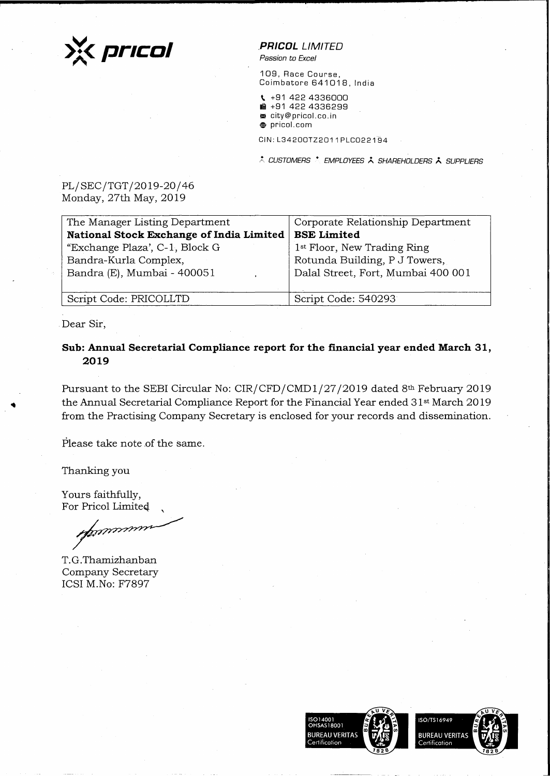

**.PR/COL** LIMITED

Passion to Excel

109, Race Course, Coimbatore 641018, India

- \. +91 422 4336000  $\textbf{R}$  +91 422 4336299 <sup>~</sup>city@pricol.co.in
- **,e** pricol. com

CIN: L34200TZ2011 PLC022194

\* CUSTOMERS \* EMPLOYEES \* SHAREHOLDERS \* SUPPLIERS

PL/SEC/TGT/2019-20/46 Monday, 27th May, 2019

| The Manager Listing Department           | Corporate Relationship Department       |
|------------------------------------------|-----------------------------------------|
| National Stock Exchange of India Limited | <b>BSE Limited</b>                      |
| "Exchange Plaza', C-1, Block G           | 1 <sup>st</sup> Floor, New Trading Ring |
| Bandra-Kurla Complex,                    | Rotunda Building, P J Towers,           |
| Bandra (E), Mumbai - 400051              | Dalal Street, Fort, Mumbai 400 001      |
|                                          |                                         |
| Script Code: PRICOLLTD                   | Script Code: 540293                     |

.Dear Sir,

..

**Sub: Annual Secretarial Compliance report for the financial year ended March 31, 2019** 

Pursuant to the SEBI Circular No: CIR/CFD/CMD1/27/2019 dated 8th February 2019 the Annual Secretarial Compliance Report for the Financial Year ended 31st March 2019 from the Practising Company Secretary is enclosed for your records and dissemination.

Please take note of the same.

Thanking you

Yours faithfully, For Pricol Limited

nunung

T. G. Thamizhanban Company Secretary ICSI M.No: F7897

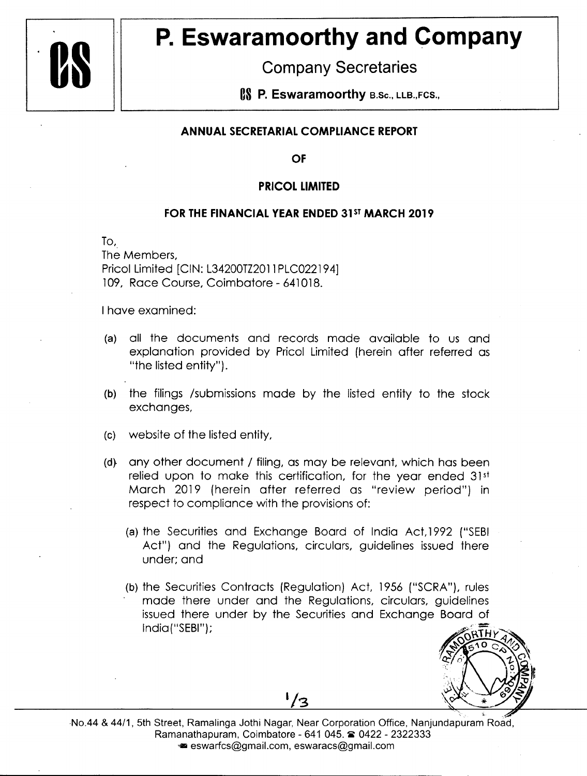

## **P. Eswaramoorthy and Company**

**Company Secretaries** 

**IS P. Eswaramoorthy B.Sc., LLB.,FCS.,** 

## **ANNUAL SECRETARIAL COMPLIANCE REPORT**

**OF** 

## **PRICOL LIMITED**

## **FOR THE FINANCIAL YEAR ENDED 31<sup>ST</sup> MARCH 2019**

To,.

The Members, Pricol Limited [CIN: L34200TZ2011 PLC022194] 109, Race Course, Coimbatore - 641018.

I have examined:

- (a) all the documents and records made available to us and explanation provided by Pricol Limited (herein after referred as "the listed entity").
- (b) the filings /submissions made by the listed entity to the stock exchanges,
- (c) website of the listed entity,
- (d} any other document / filing, as may be relevant, which has been relied upon to make this certification, for the year ended 31st March 2019 (herein after referred as "review period") in respect to compliance with the provisions of:
	- (a) the Securities and Exchange Board of India Act, 1992 ("SEBI Act") and the Regulations, circulars, guidelines issued there under; and
	- (b) the Securities Contracts (Regulation) Act, 1956 ("SCRA"), rules made there under and the Regulations, circulars, guidelines issued there under by the Securities and Exchange Board of lndia("SEBI");



No.44 & 44/1, 5th Street, Ramalinga Jothi Nagar, Near Corporation Office, Nanjundapuram Road, Ramanathapuram, Coimbatore - 641 045. @ 0422 - 2322333 ■ eswarfcs@gmail.com, eswaracs@gmail.com

 $\frac{1}{3}$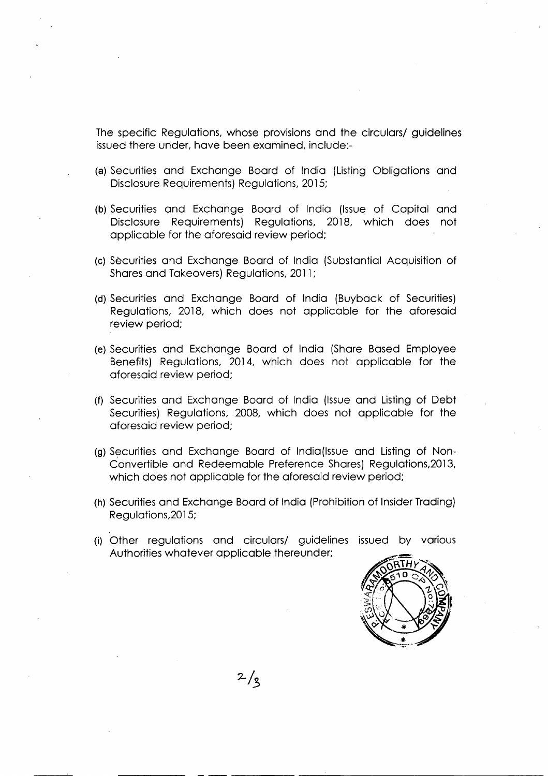The specific Regulations, whose provisions and the circulars/ guidelines issued there under, have been examined, include:-

- (a) Securities and Exchange Board of India (Listing Obligations and Disclosure Requirements) Regulations, 2015;
- (b) Securities and Exchange Board of India (Issue of Capital and Disclosure Requirements) Regulations, 2018, which does not applicable for the aforesaid review period;
- (c) Securities and Exchange Board of India (Substantial Acquisition of Shares and Takeovers) Regulations, 2011;
- (d) Securities and Exchange Board of India (Buyback of Securities) Regulations, 2018, which does not applicable for the aforesaid review period;
- (e) Securities and Exchange Board of India (Share Based Employee Benefits) Regulations, 2014, which does not applicable for the aforesaid review period;
- (f) Securities and Exchange Board of India (Issue and Listing of Debt Securities) Regulations, 2008, which does not applicable for the aforesaid review period;
- (g) Securities and Exchange Board of India(Issue and Listing of Non-Convertible and Redeemable Preference Shares) Regulations,2013, which does not applicable for the aforesaid review period;
- (h) Securities and Exchange Board of India (Prohibition of Insider Trading) Regulations,2015;
- (i) Other regulations and circulars/ guidelines issued by various Authorities whatever applicable thereunder;



 $2/3$